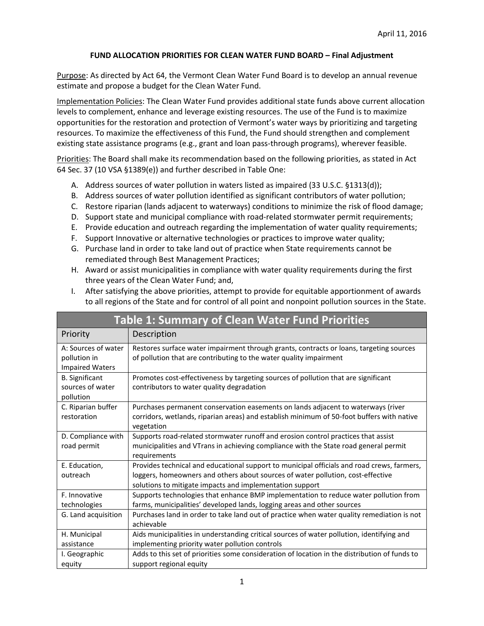## **FUND ALLOCATION PRIORITIES FOR CLEAN WATER FUND BOARD – Final Adjustment**

Purpose: As directed by Act 64, the Vermont Clean Water Fund Board is to develop an annual revenue estimate and propose a budget for the Clean Water Fund.

Implementation Policies: The Clean Water Fund provides additional state funds above current allocation levels to complement, enhance and leverage existing resources. The use of the Fund is to maximize opportunities for the restoration and protection of Vermont's water ways by prioritizing and targeting resources. To maximize the effectiveness of this Fund, the Fund should strengthen and complement existing state assistance programs (e.g., grant and loan pass-through programs), wherever feasible.

Priorities: The Board shall make its recommendation based on the following priorities, as stated in Act 64 Sec. 37 (10 VSA §1389(e)) and further described in Table One:

- A. Address sources of water pollution in waters listed as impaired (33 U.S.C. §1313(d));
- B. Address sources of water pollution identified as significant contributors of water pollution;
- C. Restore riparian (lands adjacent to waterways) conditions to minimize the risk of flood damage;
- D. Support state and municipal compliance with road-related stormwater permit requirements;
- E. Provide education and outreach regarding the implementation of water quality requirements;
- F. Support Innovative or alternative technologies or practices to improve water quality;
- G. Purchase land in order to take land out of practice when State requirements cannot be remediated through Best Management Practices;
- H. Award or assist municipalities in compliance with water quality requirements during the first three years of the Clean Water Fund; and,
- I. After satisfying the above priorities, attempt to provide for equitable apportionment of awards to all regions of the State and for control of all point and nonpoint pollution sources in the State.

| <b>Table 1: Summary of Clean Water Fund Priorities</b>        |                                                                                                                                                                                                                                           |  |  |  |  |  |  |  |  |  |
|---------------------------------------------------------------|-------------------------------------------------------------------------------------------------------------------------------------------------------------------------------------------------------------------------------------------|--|--|--|--|--|--|--|--|--|
| Priority                                                      | Description                                                                                                                                                                                                                               |  |  |  |  |  |  |  |  |  |
| A: Sources of water<br>pollution in<br><b>Impaired Waters</b> | Restores surface water impairment through grants, contracts or loans, targeting sources<br>of pollution that are contributing to the water quality impairment                                                                             |  |  |  |  |  |  |  |  |  |
| <b>B.</b> Significant<br>sources of water<br>pollution        | Promotes cost-effectiveness by targeting sources of pollution that are significant<br>contributors to water quality degradation                                                                                                           |  |  |  |  |  |  |  |  |  |
| C. Riparian buffer<br>restoration                             | Purchases permanent conservation easements on lands adjacent to waterways (river<br>corridors, wetlands, riparian areas) and establish minimum of 50-foot buffers with native<br>vegetation                                               |  |  |  |  |  |  |  |  |  |
| D. Compliance with<br>road permit                             | Supports road-related stormwater runoff and erosion control practices that assist<br>municipalities and VTrans in achieving compliance with the State road general permit<br>requirements                                                 |  |  |  |  |  |  |  |  |  |
| E. Education,<br>outreach                                     | Provides technical and educational support to municipal officials and road crews, farmers,<br>loggers, homeowners and others about sources of water pollution, cost-effective<br>solutions to mitigate impacts and implementation support |  |  |  |  |  |  |  |  |  |
| F. Innovative<br>technologies                                 | Supports technologies that enhance BMP implementation to reduce water pollution from<br>farms, municipalities' developed lands, logging areas and other sources                                                                           |  |  |  |  |  |  |  |  |  |
| G. Land acquisition                                           | Purchases land in order to take land out of practice when water quality remediation is not<br>achievable                                                                                                                                  |  |  |  |  |  |  |  |  |  |
| H. Municipal<br>assistance                                    | Aids municipalities in understanding critical sources of water pollution, identifying and<br>implementing priority water pollution controls                                                                                               |  |  |  |  |  |  |  |  |  |
| I. Geographic<br>equity                                       | Adds to this set of priorities some consideration of location in the distribution of funds to<br>support regional equity                                                                                                                  |  |  |  |  |  |  |  |  |  |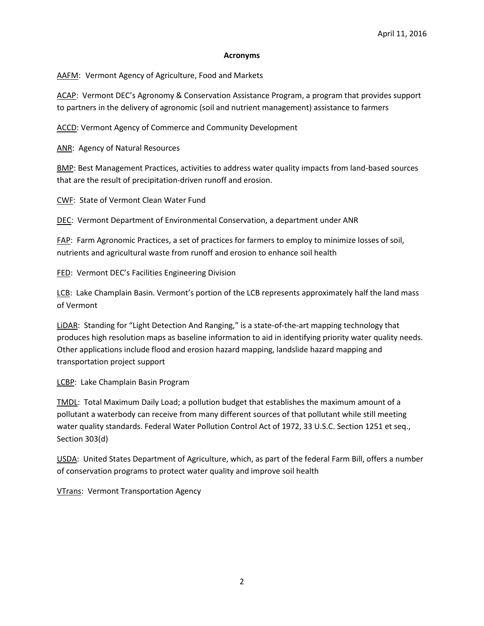## **Acronyms**

AAFM: Vermont Agency of Agriculture, Food and Markets

ACAP: Vermont DEC's Agronomy & Conservation Assistance Program, a program that provides support to partners in the delivery of agronomic (soil and nutrient management) assistance to farmers

ACCD: Vermont Agency of Commerce and Community Development

ANR: Agency of Natural Resources

BMP: Best Management Practices, activities to address water quality impacts from land-based sources that are the result of precipitation-driven runoff and erosion.

CWF: State of Vermont Clean Water Fund

DEC: Vermont Department of Environmental Conservation, a department under ANR

FAP: Farm Agronomic Practices, a set of practices for farmers to employ to minimize losses of soil, nutrients and agricultural waste from runoff and erosion to enhance soil health

FED: Vermont DEC's Facilities Engineering Division

LCB: Lake Champlain Basin. Vermont's portion of the LCB represents approximately half the land mass of Vermont

LiDAR: Standing for "Light Detection And Ranging," is a state-of-the-art mapping technology that produces high resolution maps as baseline information to aid in identifying priority water quality needs. Other applications include flood and erosion hazard mapping, landslide hazard mapping and transportation project support

LCBP: Lake Champlain Basin Program

TMDL: Total Maximum Daily Load; a pollution budget that establishes the maximum amount of a pollutant a waterbody can receive from many different sources of that pollutant while still meeting water quality standards. Federal Water Pollution Control Act of 1972, 33 U.S.C. Section 1251 et seq., Section 303(d)

USDA: United States Department of Agriculture, which, as part of the federal Farm Bill, offers a number of conservation programs to protect water quality and improve soil health

VTrans: Vermont Transportation Agency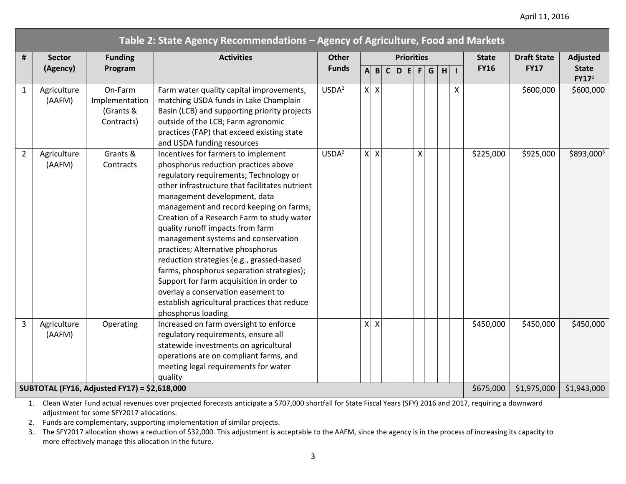## April 11, 2016

| Table 2: State Agency Recommendations - Agency of Agriculture, Food and Markets |                       |                                                      |                                                                                                                                                                                                                                                                                                                                                                                                                                                                                                                                                                                                                                                                    |                   |                   |              |              |  |             |              |                    |          |                 |             |             |                                   |
|---------------------------------------------------------------------------------|-----------------------|------------------------------------------------------|--------------------------------------------------------------------------------------------------------------------------------------------------------------------------------------------------------------------------------------------------------------------------------------------------------------------------------------------------------------------------------------------------------------------------------------------------------------------------------------------------------------------------------------------------------------------------------------------------------------------------------------------------------------------|-------------------|-------------------|--------------|--------------|--|-------------|--------------|--------------------|----------|-----------------|-------------|-------------|-----------------------------------|
| #                                                                               | <b>Sector</b>         | <b>Funding</b>                                       | <b>Activities</b>                                                                                                                                                                                                                                                                                                                                                                                                                                                                                                                                                                                                                                                  | <b>Other</b>      | <b>Priorities</b> |              |              |  |             | <b>State</b> | <b>Draft State</b> | Adjusted |                 |             |             |                                   |
|                                                                                 | (Agency)              | Program                                              |                                                                                                                                                                                                                                                                                                                                                                                                                                                                                                                                                                                                                                                                    | <b>Funds</b>      | $\mathsf{A}$      | $\mathbf{B}$ | $\mathbf{C}$ |  | D E         | F            | G                  | H I      |                 | <b>FY16</b> | <b>FY17</b> | <b>State</b><br>FY17 <sup>1</sup> |
| $\mathbf{1}$                                                                    | Agriculture<br>(AAFM) | On-Farm<br>Implementation<br>(Grants &<br>Contracts) | Farm water quality capital improvements,<br>matching USDA funds in Lake Champlain<br>Basin (LCB) and supporting priority projects<br>outside of the LCB; Farm agronomic<br>practices (FAP) that exceed existing state<br>and USDA funding resources                                                                                                                                                                                                                                                                                                                                                                                                                | USDA <sup>2</sup> |                   | $x \mid x$   |              |  |             |              |                    |          | $\mathsf{\chi}$ |             | \$600,000   | \$600,000                         |
| $\overline{2}$                                                                  | Agriculture<br>(AAFM) | Grants &<br>Contracts                                | Incentives for farmers to implement<br>phosphorus reduction practices above<br>regulatory requirements; Technology or<br>other infrastructure that facilitates nutrient<br>management development, data<br>management and record keeping on farms;<br>Creation of a Research Farm to study water<br>quality runoff impacts from farm<br>management systems and conservation<br>practices; Alternative phosphorus<br>reduction strategies (e.g., grassed-based<br>farms, phosphorus separation strategies);<br>Support for farm acquisition in order to<br>overlay a conservation easement to<br>establish agricultural practices that reduce<br>phosphorus loading | USDA <sup>2</sup> |                   | $x \mid x$   |              |  |             | X            |                    |          |                 | \$225,000   | \$925,000   | \$893,0003                        |
| $\overline{3}$                                                                  | Agriculture<br>(AAFM) | Operating                                            | Increased on farm oversight to enforce<br>regulatory requirements, ensure all<br>statewide investments on agricultural<br>operations are on compliant farms, and<br>meeting legal requirements for water<br>quality                                                                                                                                                                                                                                                                                                                                                                                                                                                |                   | $\mathsf{X}$      | $\times$     |              |  |             |              |                    |          |                 | \$450,000   | \$450,000   | \$450,000                         |
| SUBTOTAL (FY16, Adjusted FY17) = \$2,618,000<br>\$675,000                       |                       |                                                      |                                                                                                                                                                                                                                                                                                                                                                                                                                                                                                                                                                                                                                                                    |                   |                   |              |              |  | \$1,975,000 | \$1,943,000  |                    |          |                 |             |             |                                   |

1. Clean Water Fund actual revenues over projected forecasts anticipate a \$707,000 shortfall for State Fiscal Years (SFY) 2016 and 2017, requiring a downward adjustment for some SFY2017 allocations.

2. Funds are complementary, supporting implementation of similar projects.

3. The SFY2017 allocation shows a reduction of \$32,000. This adjustment is acceptable to the AAFM, since the agency is in the process of increasing its capacity to more effectively manage this allocation in the future.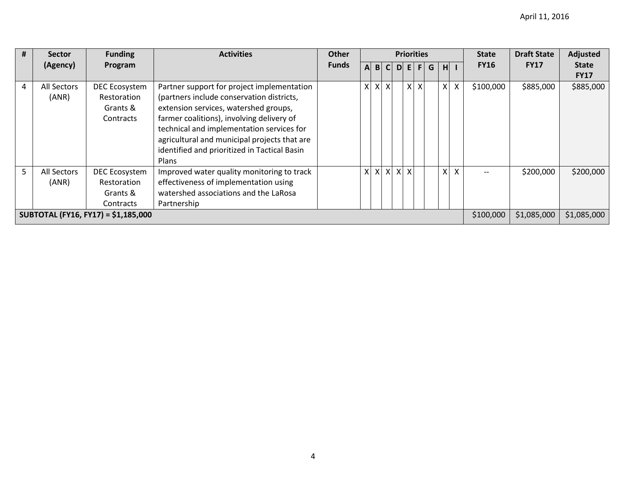| #                                   | <b>Sector</b>      | <b>Funding</b> | <b>Activities</b>                            | <b>Other</b> | <b>Priorities</b> |   |                           |           |              |              |   |                | <b>State</b> | <b>Draft State</b> | <b>Adjusted</b> |              |
|-------------------------------------|--------------------|----------------|----------------------------------------------|--------------|-------------------|---|---------------------------|-----------|--------------|--------------|---|----------------|--------------|--------------------|-----------------|--------------|
|                                     | (Agency)           | Program        |                                              | <b>Funds</b> | $\mathbf{A}$      | B | $\mathsf{C}^{\mathsf{I}}$ | D.        | E            | F            | G | H <sup>1</sup> |              | <b>FY16</b>        | <b>FY17</b>     | <b>State</b> |
|                                     |                    |                |                                              |              |                   |   |                           |           |              |              |   |                |              |                    |                 | <b>FY17</b>  |
| 4                                   | All Sectors        | DEC Ecosystem  | Partner support for project implementation   |              | X                 |   | $X$ $X$                   |           | $\mathsf{x}$ | $\mathsf{X}$ |   |                | $X$ $X$      | \$100,000          | \$885,000       | \$885,000    |
|                                     | (ANR)              | Restoration    | (partners include conservation districts,    |              |                   |   |                           |           |              |              |   |                |              |                    |                 |              |
|                                     |                    | Grants &       | extension services, watershed groups,        |              |                   |   |                           |           |              |              |   |                |              |                    |                 |              |
|                                     |                    | Contracts      | farmer coalitions), involving delivery of    |              |                   |   |                           |           |              |              |   |                |              |                    |                 |              |
|                                     |                    |                | technical and implementation services for    |              |                   |   |                           |           |              |              |   |                |              |                    |                 |              |
|                                     |                    |                | agricultural and municipal projects that are |              |                   |   |                           |           |              |              |   |                |              |                    |                 |              |
|                                     |                    |                | identified and prioritized in Tactical Basin |              |                   |   |                           |           |              |              |   |                |              |                    |                 |              |
|                                     |                    |                | <b>Plans</b>                                 |              |                   |   |                           |           |              |              |   |                |              |                    |                 |              |
| 5.                                  | <b>All Sectors</b> | DEC Ecosystem  | Improved water quality monitoring to track   |              | $\mathsf{X}$      |   | $x \times$                |           | $x \mid x$   |              |   |                | $x \mid x$   |                    | \$200,000       | \$200,000    |
|                                     | (ANR)              | Restoration    | effectiveness of implementation using        |              |                   |   |                           |           |              |              |   |                |              |                    |                 |              |
|                                     |                    | Grants &       | watershed associations and the LaRosa        |              |                   |   |                           |           |              |              |   |                |              |                    |                 |              |
|                                     |                    | Contracts      | Partnership                                  |              |                   |   |                           |           |              |              |   |                |              |                    |                 |              |
| SUBTOTAL (FY16, FY17) = \$1,185,000 |                    |                |                                              |              |                   |   |                           | \$100,000 | \$1,085,000  | \$1,085,000  |   |                |              |                    |                 |              |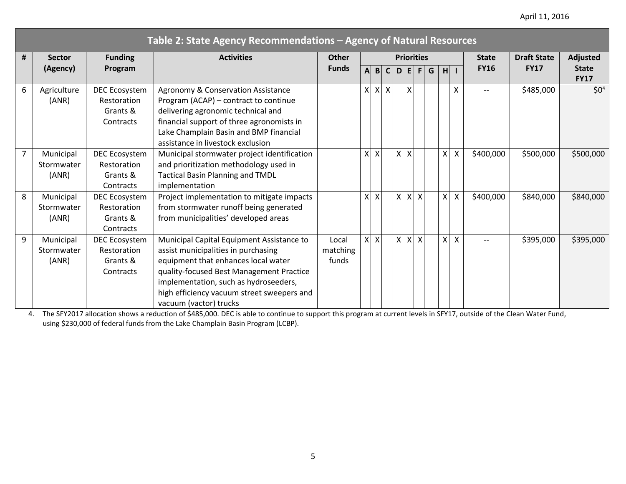## April 11, 2016

|   | Table 2: State Agency Recommendations - Agency of Natural Resources |                                                              |                                                                                                                                                                                                                                                                                      |                            |              |                           |     |              |                           |                           |   |                |                           |              |                    |                             |
|---|---------------------------------------------------------------------|--------------------------------------------------------------|--------------------------------------------------------------------------------------------------------------------------------------------------------------------------------------------------------------------------------------------------------------------------------------|----------------------------|--------------|---------------------------|-----|--------------|---------------------------|---------------------------|---|----------------|---------------------------|--------------|--------------------|-----------------------------|
| # | <b>Sector</b>                                                       | <b>Funding</b>                                               | <b>Activities</b>                                                                                                                                                                                                                                                                    | <b>Other</b>               |              |                           |     |              |                           | <b>Priorities</b>         |   |                |                           | <b>State</b> | <b>Draft State</b> | <b>Adjusted</b>             |
|   | (Agency)                                                            | Program                                                      |                                                                                                                                                                                                                                                                                      | <b>Funds</b>               | $\mathbf{A}$ |                           | B C |              | D E                       | F                         | G |                | H I                       | <b>FY16</b>  | <b>FY17</b>        | <b>State</b><br><b>FY17</b> |
| 6 | Agriculture<br>(ANR)                                                | <b>DEC Ecosystem</b><br>Restoration<br>Grants &<br>Contracts | Agronomy & Conservation Assistance<br>Program (ACAP) - contract to continue<br>delivering agronomic technical and<br>financial support of three agronomists in<br>Lake Champlain Basin and BMP financial<br>assistance in livestock exclusion                                        |                            | $\mathsf{x}$ | $\boldsymbol{\mathsf{X}}$ | X   |              | X                         |                           |   |                | $\sf X$                   |              | \$485,000          | $$0^4$$                     |
| 7 | Municipal<br>Stormwater<br>(ANR)                                    | <b>DEC Ecosystem</b><br>Restoration<br>Grants &<br>Contracts | Municipal stormwater project identification<br>and prioritization methodology used in<br><b>Tactical Basin Planning and TMDL</b><br>implementation                                                                                                                                   |                            | X            | X                         |     |              | $x \mid x$                |                           |   | $\mathsf{X}$   | $\boldsymbol{\mathsf{x}}$ | \$400,000    | \$500,000          | \$500,000                   |
| 8 | Municipal<br>Stormwater<br>(ANR)                                    | DEC Ecosystem<br>Restoration<br>Grants &<br>Contracts        | Project implementation to mitigate impacts<br>from stormwater runoff being generated<br>from municipalities' developed areas                                                                                                                                                         |                            | $\mathsf{x}$ | $\mathsf{X}$              |     | $\mathsf{x}$ | $\boldsymbol{\mathsf{X}}$ | $\boldsymbol{\mathsf{x}}$ |   | x              | $\boldsymbol{\mathsf{x}}$ | \$400,000    | \$840,000          | \$840,000                   |
| 9 | Municipal<br>Stormwater<br>(ANR)                                    | DEC Ecosystem<br>Restoration<br>Grants &<br>Contracts        | Municipal Capital Equipment Assistance to<br>assist municipalities in purchasing<br>equipment that enhances local water<br>quality-focused Best Management Practice<br>implementation, such as hydroseeders,<br>high efficiency vacuum street sweepers and<br>vacuum (vactor) trucks | Local<br>matching<br>funds | $\mathsf{x}$ | $\mathsf{X}$              |     |              | $X$ $X$                   | $\boldsymbol{\mathsf{X}}$ |   | x <sub>l</sub> | $\boldsymbol{\mathsf{X}}$ | $---$        | \$395,000          | \$395,000                   |

4. The SFY2017 allocation shows a reduction of \$485,000. DEC is able to continue to support this program at current levels in SFY17, outside of the Clean Water Fund, using \$230,000 of federal funds from the Lake Champlain Basin Program (LCBP).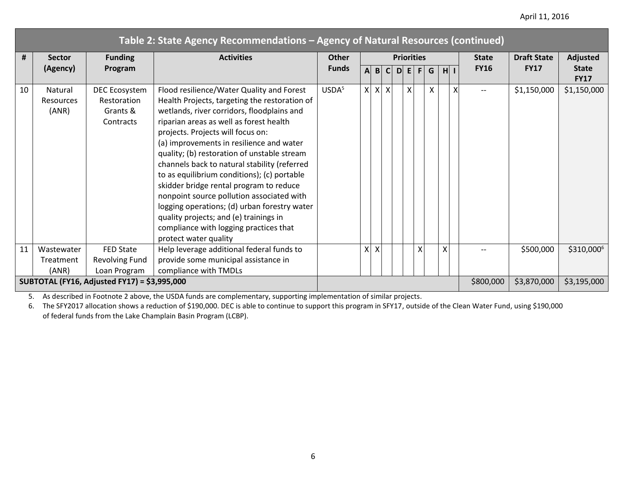|    |                                              |                                                       |                                                                                                                                                                                                                                                                                                                                                                                                                                                                                                                                                                                                                                                                         | Table 2: State Agency Recommendations - Agency of Natural Resources (continued) |              |          |                           |  |                   |   |                 |   |             |              |                    |                             |
|----|----------------------------------------------|-------------------------------------------------------|-------------------------------------------------------------------------------------------------------------------------------------------------------------------------------------------------------------------------------------------------------------------------------------------------------------------------------------------------------------------------------------------------------------------------------------------------------------------------------------------------------------------------------------------------------------------------------------------------------------------------------------------------------------------------|---------------------------------------------------------------------------------|--------------|----------|---------------------------|--|-------------------|---|-----------------|---|-------------|--------------|--------------------|-----------------------------|
| #  | <b>Sector</b>                                | <b>Funding</b>                                        | <b>Activities</b>                                                                                                                                                                                                                                                                                                                                                                                                                                                                                                                                                                                                                                                       | Other                                                                           |              |          |                           |  | <b>Priorities</b> |   |                 |   |             | <b>State</b> | <b>Draft State</b> | <b>Adjusted</b>             |
|    | (Agency)                                     | Program                                               |                                                                                                                                                                                                                                                                                                                                                                                                                                                                                                                                                                                                                                                                         | <b>Funds</b>                                                                    | $\mathsf{A}$ |          | B C                       |  | D E               | F | G               |   | $H$ $\vert$ | <b>FY16</b>  | <b>FY17</b>        | <b>State</b><br><b>FY17</b> |
| 10 | Natural<br><b>Resources</b><br>(ANR)         | DEC Ecosystem<br>Restoration<br>Grants &<br>Contracts | Flood resilience/Water Quality and Forest<br>Health Projects, targeting the restoration of<br>wetlands, river corridors, floodplains and<br>riparian areas as well as forest health<br>projects. Projects will focus on:<br>(a) improvements in resilience and water<br>quality; (b) restoration of unstable stream<br>channels back to natural stability (referred<br>to as equilibrium conditions); (c) portable<br>skidder bridge rental program to reduce<br>nonpoint source pollution associated with<br>logging operations; (d) urban forestry water<br>quality projects; and (e) trainings in<br>compliance with logging practices that<br>protect water quality | USDA <sup>5</sup>                                                               | $\mathsf{X}$ | $\times$ | $\boldsymbol{\mathsf{X}}$ |  | X                 |   | $\mathsf{\chi}$ |   |             |              | \$1,150,000        | \$1,150,000                 |
| 11 | Wastewater                                   | <b>FED State</b>                                      | Help leverage additional federal funds to                                                                                                                                                                                                                                                                                                                                                                                                                                                                                                                                                                                                                               |                                                                                 | $\times$     | $\times$ |                           |  |                   | X |                 | X |             |              | \$500,000          | \$310,0006                  |
|    | Treatment                                    | <b>Revolving Fund</b>                                 | provide some municipal assistance in                                                                                                                                                                                                                                                                                                                                                                                                                                                                                                                                                                                                                                    |                                                                                 |              |          |                           |  |                   |   |                 |   |             |              |                    |                             |
|    | (ANR)                                        | Loan Program                                          | compliance with TMDLs                                                                                                                                                                                                                                                                                                                                                                                                                                                                                                                                                                                                                                                   |                                                                                 |              |          |                           |  |                   |   |                 |   |             |              |                    |                             |
|    | SUBTOTAL (FY16, Adjusted FY17) = \$3,995,000 |                                                       |                                                                                                                                                                                                                                                                                                                                                                                                                                                                                                                                                                                                                                                                         |                                                                                 |              |          |                           |  |                   |   |                 |   |             | \$800,000    | \$3,870,000        | \$3,195,000                 |

5. As described in Footnote 2 above, the USDA funds are complementary, supporting implementation of similar projects.

6. The SFY2017 allocation shows a reduction of \$190,000. DEC is able to continue to support this program in SFY17, outside of the Clean Water Fund, using \$190,000 of federal funds from the Lake Champlain Basin Program (LCBP).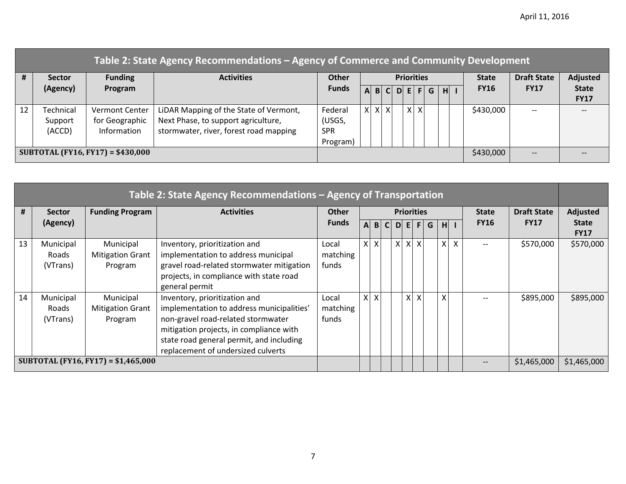|                                   | Table 2: State Agency Recommendations – Agency of Commerce and Community Development |                       |                                        |              |         |    |              |          |                   |   |     |   |           |              |                    |              |
|-----------------------------------|--------------------------------------------------------------------------------------|-----------------------|----------------------------------------|--------------|---------|----|--------------|----------|-------------------|---|-----|---|-----------|--------------|--------------------|--------------|
| #                                 | <b>Sector</b>                                                                        | <b>Funding</b>        | <b>Activities</b>                      | <b>Other</b> |         |    |              |          | <b>Priorities</b> |   |     |   |           | <b>State</b> | <b>Draft State</b> | Adjusted     |
|                                   | (Agency)                                                                             | Program               |                                        | <b>Funds</b> | A       | B. | $\mathsf{C}$ | <b>D</b> | EI                |   | F G | H |           | <b>FY16</b>  | <b>FY17</b>        | <b>State</b> |
|                                   |                                                                                      |                       |                                        |              |         |    |              |          |                   |   |     |   |           |              |                    | <b>FY17</b>  |
| 12                                | Technical                                                                            | <b>Vermont Center</b> | LIDAR Mapping of the State of Vermont, | Federal      | $X$ $X$ |    | $\times$     |          | X <sup>1</sup>    | X |     |   |           | \$430,000    | $- -$              |              |
|                                   | Support                                                                              | for Geographic        | Next Phase, to support agriculture,    | (USGS,       |         |    |              |          |                   |   |     |   |           |              |                    |              |
|                                   | (ACCD)                                                                               | Information           | stormwater, river, forest road mapping | <b>SPR</b>   |         |    |              |          |                   |   |     |   |           |              |                    |              |
|                                   |                                                                                      |                       |                                        | Program)     |         |    |              |          |                   |   |     |   |           |              |                    |              |
| SUBTOTAL (FY16, FY17) = \$430,000 |                                                                                      |                       |                                        |              |         |    |              |          |                   |   |     |   | \$430,000 | $--$         |                    |              |

| Table 2: State Agency Recommendations - Agency of Transportation |                                       |                                                 |                                                                                                                                                                                                                                               |                            |                                   |                           |              |   |              |                    |                 |  |     |              |             |             |                             |
|------------------------------------------------------------------|---------------------------------------|-------------------------------------------------|-----------------------------------------------------------------------------------------------------------------------------------------------------------------------------------------------------------------------------------------------|----------------------------|-----------------------------------|---------------------------|--------------|---|--------------|--------------------|-----------------|--|-----|--------------|-------------|-------------|-----------------------------|
| #                                                                | <b>Sector</b>                         | <b>Funding Program</b>                          | <b>Activities</b>                                                                                                                                                                                                                             | <b>Other</b>               | <b>Priorities</b><br><b>State</b> |                           |              |   |              | <b>Draft State</b> | <b>Adjusted</b> |  |     |              |             |             |                             |
|                                                                  | (Agency)                              |                                                 |                                                                                                                                                                                                                                               | <b>Funds</b>               | $\mathsf{A}$                      | B                         | $\mathsf{C}$ | D | E            | F I                | G               |  | H I |              | <b>FY16</b> | <b>FY17</b> | <b>State</b><br><b>FY17</b> |
| 13                                                               | Municipal<br><b>Roads</b><br>(VTrans) | Municipal<br><b>Mitigation Grant</b><br>Program | Inventory, prioritization and<br>implementation to address municipal<br>gravel road-related stormwater mitigation<br>projects, in compliance with state road<br>general permit                                                                | Local<br>matching<br>funds | $\mathsf{X}$                      | $\boldsymbol{\mathsf{X}}$ |              |   | $x \mid x$   | $\mathsf{X}$       |                 |  | X   | $\mathsf{X}$ |             | \$570,000   | \$570,000                   |
| 14                                                               | Municipal<br>Roads<br>(VTrans)        | Municipal<br><b>Mitigation Grant</b><br>Program | Inventory, prioritization and<br>implementation to address municipalities'<br>non-gravel road-related stormwater<br>mitigation projects, in compliance with<br>state road general permit, and including<br>replacement of undersized culverts | Local<br>matching<br>funds |                                   | $x \mid x$                |              |   | $\mathsf{x}$ | X                  |                 |  | X   |              |             | \$895,000   | \$895,000                   |
|                                                                  |                                       | SUBTOTAL (FY16, FY17) = \$1,465,000             |                                                                                                                                                                                                                                               |                            |                                   |                           |              |   |              |                    |                 |  |     |              |             | \$1,465,000 | \$1,465,000                 |